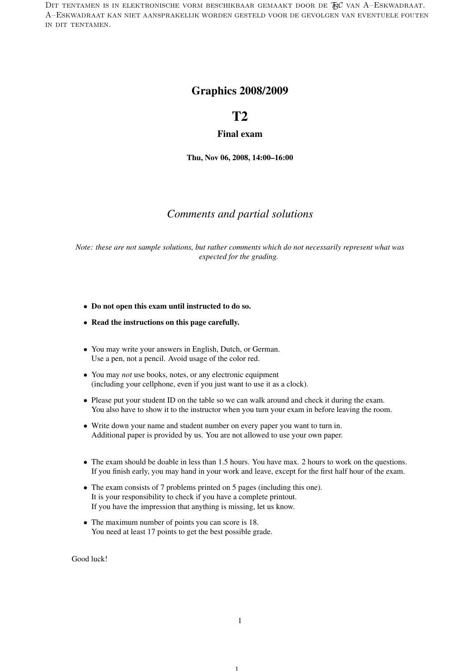DIT TENTAMEN IS IN ELEKTRONISCHE VORM BESCHIKBAAR GEMAAKT DOOR DE  $\mathcal{F}\mathcal{C}$  van A–Eskwadraat. A–Eskwadraat kan niet aansprakelijk worden gesteld voor de gevolgen van eventuele fouten in dit tentamen.

### Graphics 2008/2009

# T2

#### Final exam

Thu, Nov 06, 2008, 14:00–16:00

#### *Comments and partial solutions*

*Note: these are not sample solutions, but rather comments which do not necessarily represent what was expected for the grading.*

- Do not open this exam until instructed to do so.
- Read the instructions on this page carefully.
- You may write your answers in English, Dutch, or German. Use a pen, not a pencil. Avoid usage of the color red.
- You may *not* use books, notes, or any electronic equipment (including your cellphone, even if you just want to use it as a clock).
- Please put your student ID on the table so we can walk around and check it during the exam. You also have to show it to the instructor when you turn your exam in before leaving the room.
- Write down your name and student number on every paper you want to turn in. Additional paper is provided by us. You are not allowed to use your own paper.
- The exam should be doable in less than 1.5 hours. You have max. 2 hours to work on the questions. If you finish early, you may hand in your work and leave, except for the first half hour of the exam.
- The exam consists of 7 problems printed on 5 pages (including this one). It is your responsibility to check if you have a complete printout. If you have the impression that anything is missing, let us know.
- The maximum number of points you can score is 18. You need at least 17 points to get the best possible grade.

Good luck!

1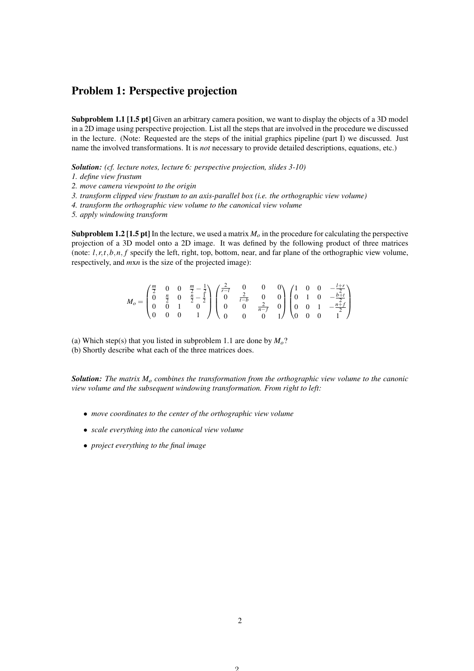## Problem 1: Perspective projection

Subproblem 1.1 [1.5 pt] Given an arbitrary camera position, we want to display the objects of a 3D model in a 2D image using perspective projection. List all the steps that are involved in the procedure we discussed in the lecture. (Note: Requested are the steps of the initial graphics pipeline (part I) we discussed. Just name the involved transformations. It is *not* necessary to provide detailed descriptions, equations, etc.)

*Solution: (cf. lecture notes, lecture 6: perspective projection, slides 3-10)*

*1. define view frustum*

*2. move camera viewpoint to the origin*

*3. transform clipped view frustum to an axis-parallel box (i.e. the orthographic view volume)*

*4. transform the orthographic view volume to the canonical view volume*

*5. apply windowing transform*

**Subproblem 1.2 [1.5 pt]** In the lecture, we used a matrix  $M<sub>o</sub>$  in the procedure for calculating the perspective projection of a 3D model onto a 2D image. It was defined by the following product of three matrices (note:  $l, r, t, b, n, f$  specify the left, right, top, bottom, near, and far plane of the orthographic view volume, respectively, and *m*x*n* is the size of the projected image):

$$
M_o = \begin{pmatrix} \frac{m}{2} & 0 & 0 & \frac{m}{2} - \frac{1}{2} \\ 0 & \frac{n}{2} & 0 & \frac{n}{2} - \frac{1}{2} \\ 0 & 0 & 1 & 0 \\ 0 & 0 & 0 & 1 \end{pmatrix} \begin{pmatrix} \frac{2}{r-1} & 0 & 0 & 0 \\ 0 & \frac{2}{t-b} & 0 & 0 \\ 0 & 0 & \frac{2}{n-f} & 0 \\ 0 & 0 & 0 & 1 \end{pmatrix} \begin{pmatrix} 1 & 0 & 0 & -\frac{l+r}{2} \\ 0 & 1 & 0 & -\frac{b+t}{2} \\ 0 & 0 & 1 & -\frac{n+f}{2} \\ 0 & 0 & 0 & 1 \end{pmatrix}
$$

(a) Which step(s) that you listed in subproblem 1.1 are done by *Mo*? (b) Shortly describe what each of the three matrices does.

*Solution: The matrix M<sup>o</sup> combines the transformation from the orthographic view volume to the canonic view volume and the subsequent windowing transformation. From right to left:*

- *move coordinates to the center of the orthographic view volume*
- *scale everything into the canonical view volume*
- *project everything to the final image*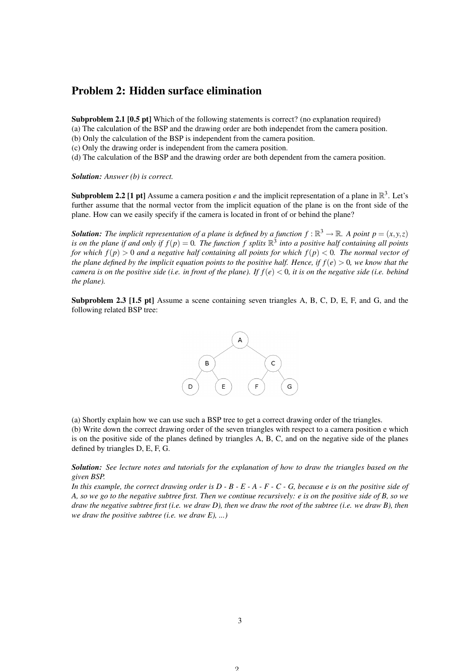### Problem 2: Hidden surface elimination

Subproblem 2.1 [0.5 pt] Which of the following statements is correct? (no explanation required) (a) The calculation of the BSP and the drawing order are both independet from the camera position.

(b) Only the calculation of the BSP is independent from the camera position.

(c) Only the drawing order is independent from the camera position.

(d) The calculation of the BSP and the drawing order are both dependent from the camera position.

*Solution: Answer (b) is correct.*

**Subproblem 2.2 [1 pt]** Assume a camera position *e* and the implicit representation of a plane in  $\mathbb{R}^3$ . Let's further assume that the normal vector from the implicit equation of the plane is on the front side of the plane. How can we easily specify if the camera is located in front of or behind the plane?

**Solution:** The implicit representation of a plane is defined by a function  $f : \mathbb{R}^3 \to \mathbb{R}$ . A point  $p = (x, y, z)$ is on the plane if and only if  $f(p) = 0$ . The function f splits  $\mathbb{R}^3$  into a positive half containing all points *for which f*(*p*) > 0 *and a negative half containing all points for which f*(*p*) < 0*. The normal vector of the plane defined by the implicit equation points to the positive half. Hence, if*  $f(e) > 0$ *, we know that the camera is on the positive side (i.e. in front of the plane). If*  $f(e) < 0$ *, it is on the negative side (i.e. behind the plane).*

Subproblem 2.3 [1.5 pt] Assume a scene containing seven triangles A, B, C, D, E, F, and G, and the following related BSP tree:



(a) Shortly explain how we can use such a BSP tree to get a correct drawing order of the triangles.

(b) Write down the correct drawing order of the seven triangles with respect to a camera position e which is on the positive side of the planes defined by triangles A, B, C, and on the negative side of the planes defined by triangles D, E, F, G.

*Solution: See lecture notes and tutorials for the explanation of how to draw the triangles based on the given BSP.*

*In this example, the correct drawing order is D - B - E - A - F - C - G, because e is on the positive side of A, so we go to the negative subtree first. Then we continue recursively: e is on the positive side of B, so we draw the negative subtree first (i.e. we draw D), then we draw the root of the subtree (i.e. we draw B), then we draw the positive subtree (i.e. we draw E), ...)*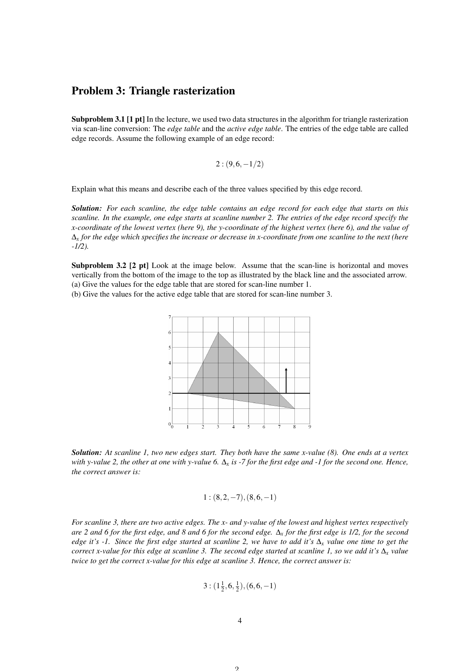#### Problem 3: Triangle rasterization

Subproblem 3.1 [1 pt] In the lecture, we used two data structures in the algorithm for triangle rasterization via scan-line conversion: The *edge table* and the *active edge table*. The entries of the edge table are called edge records. Assume the following example of an edge record:

$$
2:(9,6,-1/2)
$$

Explain what this means and describe each of the three values specified by this edge record.

*Solution: For each scanline, the edge table contains an edge record for each edge that starts on this scanline. In the example, one edge starts at scanline number 2. The entries of the edge record specify the x-coordinate of the lowest vertex (here 9), the y-coordinate of the highest vertex (here 6), and the value of* ∆*<sup>x</sup> for the edge which specifies the increase or decrease in x-coordinate from one scanline to the next (here -1/2).*

Subproblem 3.2 [2 pt] Look at the image below. Assume that the scan-line is horizontal and moves vertically from the bottom of the image to the top as illustrated by the black line and the associated arrow. (a) Give the values for the edge table that are stored for scan-line number 1.

(b) Give the values for the active edge table that are stored for scan-line number 3.



*Solution: At scanline 1, two new edges start. They both have the same x-value (8). One ends at a vertex with y-value 2, the other at one with y-value 6.* ∆*<sup>x</sup> is -7 for the first edge and -1 for the second one. Hence, the correct answer is:*

$$
1:(8,2,-7),(8,6,-1)
$$

*For scanline 3, there are two active edges. The x- and y-value of the lowest and highest vertex respectively are 2 and 6 for the first edge, and 8 and 6 for the second edge.* ∆*<sup>x</sup> for the first edge is 1/2, for the second edge it's -1. Since the first edge started at scanline 2, we have to add it's* ∆*<sup>x</sup> value one time to get the correct x-value for this edge at scanline 3. The second edge started at scanline 1, so we add it's* ∆*<sup>x</sup> value twice to get the correct x-value for this edge at scanline 3. Hence, the correct answer is:*

$$
3: (1\frac{1}{2}, 6, \frac{1}{2}), (6, 6, -1)
$$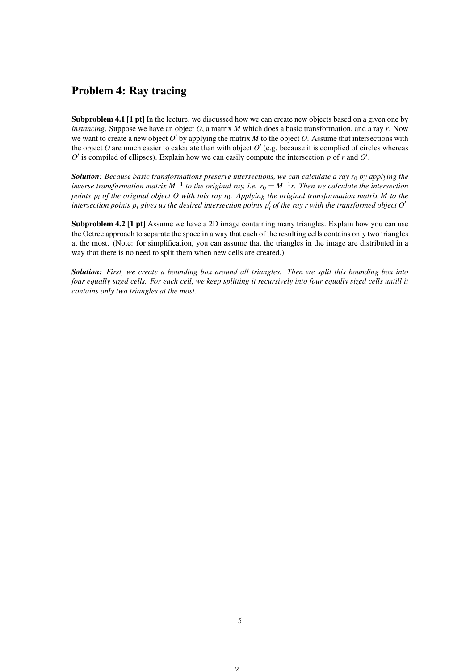## Problem 4: Ray tracing

Subproblem 4.1 [1 pt] In the lecture, we discussed how we can create new objects based on a given one by *instancing*. Suppose we have an object *O*, a matrix *M* which does a basic transformation, and a ray *r*. Now we want to create a new object  $O'$  by applying the matrix  $M$  to the object  $O$ . Assume that intersections with the object  $O$  are much easier to calculate than with object  $O'$  (e.g. because it is complied of circles whereas  $O'$  is compiled of ellipses). Explain how we can easily compute the intersection  $p$  of  $r$  and  $O'$ .

*Solution: Because basic transformations preserve intersections, we can calculate a ray r<sub>0</sub> by applying the inverse transformation matrix M*−<sup>1</sup> *to the original ray, i.e. r*<sup>0</sup> = *M*−<sup>1</sup> *r. Then we calculate the intersection points p<sup>i</sup> of the original object O with this ray r*0*. Applying the original transformation matrix M to the intersection points*  $p_i$  *gives us the desired intersection points*  $p'_i$  *of the ray r with the transformed object O'.* 

Subproblem 4.2 [1 pt] Assume we have a 2D image containing many triangles. Explain how you can use the Octree approach to separate the space in a way that each of the resulting cells contains only two triangles at the most. (Note: for simplification, you can assume that the triangles in the image are distributed in a way that there is no need to split them when new cells are created.)

*Solution: First, we create a bounding box around all triangles. Then we split this bounding box into four equally sized cells. For each cell, we keep splitting it recursively into four equally sized cells untill it contains only two triangles at the most.*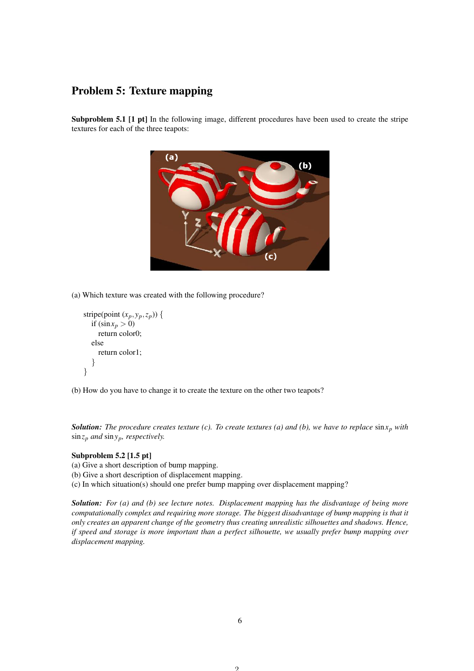## Problem 5: Texture mapping

Subproblem 5.1 [1 pt] In the following image, different procedures have been used to create the stripe textures for each of the three teapots:



(a) Which texture was created with the following procedure?

```
stripe(point (x_p, y_p, z_p)) {
  if (\sin x_p > 0)return color0;
  else
     return color1;
   }
}
```
(b) How do you have to change it to create the texture on the other two teapots?

**Solution:** The procedure creates texture (c). To create textures (a) and (b), we have to replace  $\sin x_p$  with sin*z<sup>p</sup> and* sin*yp, respectively.*

#### Subproblem 5.2 [1.5 pt]

(a) Give a short description of bump mapping.

(b) Give a short description of displacement mapping.

(c) In which situation(s) should one prefer bump mapping over displacement mapping?

*Solution: For (a) and (b) see lecture notes. Displacement mapping has the disdvantage of being more computationally complex and requiring more storage. The biggest disadvantage of bump mapping is that it only creates an apparent change of the geometry thus creating unrealistic silhouettes and shadows. Hence, if speed and storage is more important than a perfect silhouette, we usually prefer bump mapping over displacement mapping.*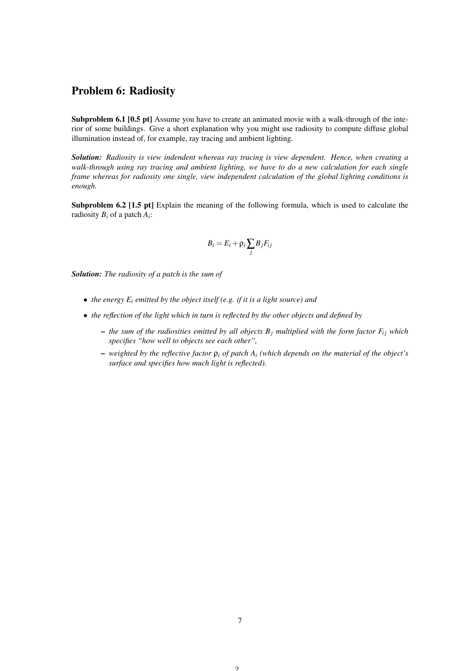## Problem 6: Radiosity

Subproblem 6.1 [0.5 pt] Assume you have to create an animated movie with a walk-through of the interior of some buildings. Give a short explanation why you might use radiosity to compute diffuse global illumination instead of, for example, ray tracing and ambient lighting.

*Solution: Radiosity is view indendent whereas ray tracing is view dependent. Hence, when creating a walk-through using ray tracing and ambient lighting, we have to do a new calculation for each single frame whereas for radiosity one single, view independent calculation of the global lighting conditions is enough.*

Subproblem 6.2 [1.5 pt] Explain the meaning of the following formula, which is used to calculate the radiosity *B<sup>i</sup>* of a patch *A<sup>i</sup>* :

$$
B_i = E_i + \rho_i \sum_j B_j F_{ij}
$$

*Solution: The radiosity of a patch is the sum of*

- *the energy E<sup>i</sup> emitted by the object itself (e.g. if it is a light source) and*
- *the reflection of the light which in turn is reflected by the other objects and defined by*
	- $-$  *the sum of the radiosities emitted by all objects B<sub><i>j*</sub> multiplied with the form factor  $F_{ij}$  which *specifies "how well to objects see each other",*
	- *weighted by the reflective factor* ρ*<sup>i</sup> of patch A<sup>i</sup> (which depends on the material of the object's surface and specifies how much light is reflected).*